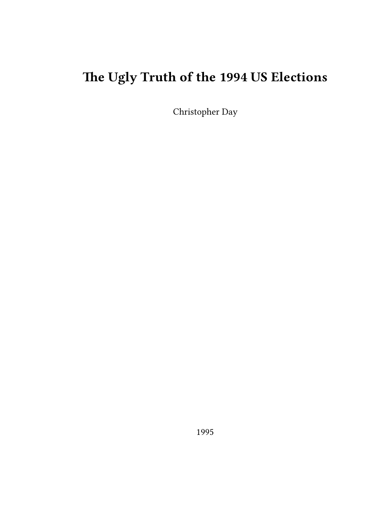# **The Ugly Truth of the 1994 US Elections**

Christopher Day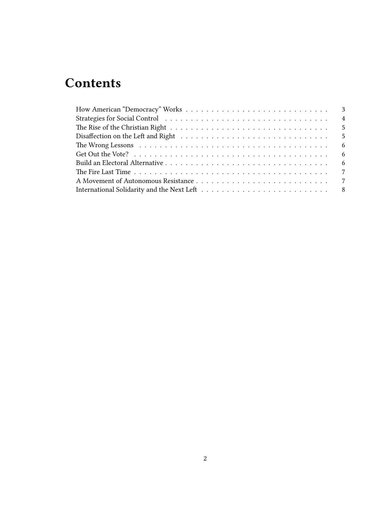## **Contents**

| $\overline{4}$ |
|----------------|
|                |
|                |
| - 6            |
| - 6            |
|                |
|                |
|                |
|                |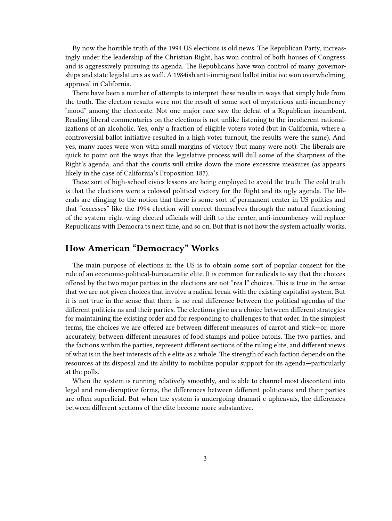By now the horrible truth of the 1994 US elections is old news. The Republican Party, increasingly under the leadership of the Christian Right, has won control of both houses of Congress and is aggressively pursuing its agenda. The Republicans have won control of many governorships and state legislatures as well. A 1984ish anti-immigrant ballot initiative won overwhelming approval in California.

There have been a number of attempts to interpret these results in ways that simply hide from the truth. The election results were not the result of some sort of mysterious anti-incumbency "mood" among the electorate. Not one major race saw the defeat of a Republican incumbent. Reading liberal commentaries on the elections is not unlike listening to the incoherent rationalizations of an alcoholic. Yes, only a fraction of eligible voters voted (but in California, where a controversial ballot initiative resulted in a high voter turnout, the results were the same). And yes, many races were won with small margins of victory (but many were not). The liberals are quick to point out the ways that the legislative process will dull some of the sharpness of the Right's agenda, and that the courts will strike down the more excessive measures (as appears likely in the case of California's Proposition 187).

These sort of high-school civics lessons are being employed to avoid the truth. The cold truth is that the elections were a colossal political victory for the Right and its ugly agenda. The liberals are clinging to the notion that there is some sort of permanent center in US politics and that "excesses" like the 1994 election will correct themselves through the natural functioning of the system: right-wing elected officials will drift to the center, anti-incumbency will replace Republicans with Democra ts next time, and so on. But that is not how the system actually works.

### <span id="page-2-0"></span>**How American "Democracy" Works**

The main purpose of elections in the US is to obtain some sort of popular consent for the rule of an economic-political-bureaucratic elite. It is common for radicals to say that the choices offered by the two major parties in the elections are not "rea l" choices. This is true in the sense that we are not given choices that involve a radical break with the existing capitalist system. But it is not true in the sense that there is no real difference between the political agendas of the different politicia ns and their parties. The elections give us a choice between different strategies for maintaining the existing order and for responding to challenges to that order. In the simplest terms, the choices we are offered are between different measures of carrot and stick—or, more accurately, between different measures of food stamps and police batons. The two parties, and the factions within the parties, represent different sections of the ruling elite, and different views of what is in the best interests of th e elite as a whole. The strength of each faction depends on the resources at its disposal and its ability to mobilize popular support for its agenda—particularly at the polls.

When the system is running relatively smoothly, and is able to channel most discontent into legal and non-disruptive forms, the differences between different politicians and their parties are often superficial. But when the system is undergoing dramati c upheavals, the differences between different sections of the elite become more substantive.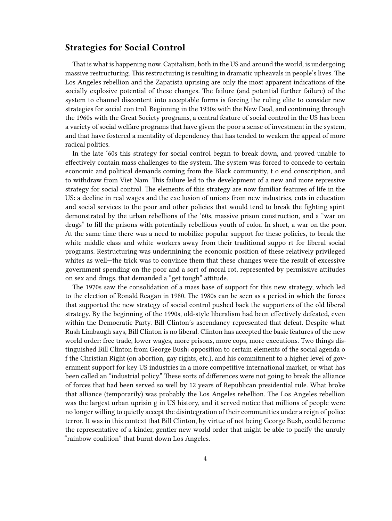#### <span id="page-3-0"></span>**Strategies for Social Control**

That is what is happening now. Capitalism, both in the US and around the world, is undergoing massive restructuring. This restructuring is resulting in dramatic upheavals in people's lives. The Los Angeles rebellion and the Zapatista uprising are only the most apparent indications of the socially explosive potential of these changes. The failure (and potential further failure) of the system to channel discontent into acceptable forms is forcing the ruling elite to consider new strategies for social con trol. Beginning in the 1930s with the New Deal, and continuing through the 1960s with the Great Society programs, a central feature of social control in the US has been a variety of social welfare programs that have given the poor a sense of investment in the system, and that have fostered a mentality of dependency that has tended to weaken the appeal of more radical politics.

In the late '60s this strategy for social control began to break down, and proved unable to effectively contain mass challenges to the system. The system was forced to concede to certain economic and political demands coming from the Black community, t o end conscription, and to withdraw from Viet Nam. This failure led to the development of a new and more repressive strategy for social control. The elements of this strategy are now familiar features of life in the US: a decline in real wages and the exc lusion of unions from new industries, cuts in education and social services to the poor and other policies that would tend to break the fighting spirit demonstrated by the urban rebellions of the '60s, massive prison construction, and a "war on drugs" to fill the prisons with potentially rebellious youth of color. In short, a war on the poor. At the same time there was a need to mobilize popular support for these policies, to break the white middle class and white workers away from their traditional suppo rt for liberal social programs. Restructuring was undermining the economic position of these relatively privileged whites as well—the trick was to convince them that these changes were the result of excessive government spending on the poor and a sort of moral rot, represented by permissive attitudes on sex and drugs, that demanded a "get tough" attitude.

The 1970s saw the consolidation of a mass base of support for this new strategy, which led to the election of Ronald Reagan in 1980. The 1980s can be seen as a period in which the forces that supported the new strategy of social control pushed back the supporters of the old liberal strategy. By the beginning of the 1990s, old-style liberalism had been effectively defeated, even within the Democratic Party. Bill Clinton's ascendancy represented that defeat. Despite what Rush Limbaugh says, Bill Clinton is no liberal. Clinton has accepted the basic features of the new world order: free trade, lower wages, more prisons, more cops, more executions. Two things distinguished Bill Clinton from George Bush: opposition to certain elements of the social agenda o f the Christian Right (on abortion, gay rights, etc.), and his commitment to a higher level of government support for key US industries in a more competitive international market, or what has been called an "industrial policy." These sorts of differences were not going to break the alliance of forces that had been served so well by 12 years of Republican presidential rule. What broke that alliance (temporarily) was probably the Los Angeles rebellion. The Los Angeles rebellion was the largest urban uprisin g in US history, and it served notice that millions of people were no longer willing to quietly accept the disintegration of their communities under a reign of police terror. It was in this context that Bill Clinton, by virtue of not being George Bush, could become the representative of a kinder, gentler new world order that might be able to pacify the unruly "rainbow coalition" that burnt down Los Angeles.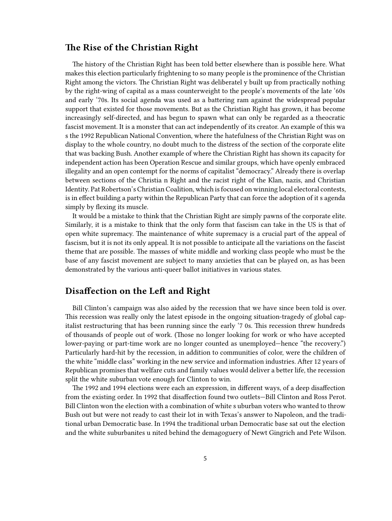## <span id="page-4-0"></span>**The Rise of the Christian Right**

The history of the Christian Right has been told better elsewhere than is possible here. What makes this election particularly frightening to so many people is the prominence of the Christian Right among the victors. The Christian Right was deliberatel y built up from practically nothing by the right-wing of capital as a mass counterweight to the people's movements of the late '60s and early '70s. Its social agenda was used as a battering ram against the widespread popular support that existed for those movements. But as the Christian Right has grown, it has become increasingly self-directed, and has begun to spawn what can only be regarded as a theocratic fascist movement. It is a monster that can act independently of its creator. An example of this wa s the 1992 Republican National Convention, where the hatefulness of the Christian Right was on display to the whole country, no doubt much to the distress of the section of the corporate elite that was backing Bush. Another example of where the Christian Right has shown its capacity for independent action has been Operation Rescue and similar groups, which have openly embraced illegality and an open contempt for the norms of capitalist "democracy." Already there is overlap between sections of the Christia n Right and the racist right of the Klan, nazis, and Christian Identity. Pat Robertson's Christian Coalition, which is focused on winning local electoral contests, is in effect building a party within the Republican Party that can force the adoption of it s agenda simply by flexing its muscle.

It would be a mistake to think that the Christian Right are simply pawns of the corporate elite. Similarly, it is a mistake to think that the only form that fascism can take in the US is that of open white supremacy. The maintenance of white supremacy is a crucial part of the appeal of fascism, but it is not its only appeal. It is not possible to anticipate all the variations on the fascist theme that are possible. The masses of white middle and working class people who must be the base of any fascist movement are subject to many anxieties that can be played on, as has been demonstrated by the various anti-queer ballot initiatives in various states.

## <span id="page-4-1"></span>**Disaffection on the Left and Right**

Bill Clinton's campaign was also aided by the recession that we have since been told is over. This recession was really only the latest episode in the ongoing situation-tragedy of global capitalist restructuring that has been running since the early '7 0s. This recession threw hundreds of thousands of people out of work. (Those no longer looking for work or who have accepted lower-paying or part-time work are no longer counted as unemployed—hence "the recovery.") Particularly hard-hit by the recession, in addition to communities of color, were the children of the white "middle class" working in the new service and information industries. After 12 years of Republican promises that welfare cuts and family values would deliver a better life, the recession split the white suburban vote enough for Clinton to win.

The 1992 and 1994 elections were each an expression, in different ways, of a deep disaffection from the existing order. In 1992 that disaffection found two outlets—Bill Clinton and Ross Perot. Bill Clinton won the election with a combination of white s uburban voters who wanted to throw Bush out but were not ready to cast their lot in with Texas's answer to Napoleon, and the traditional urban Democratic base. In 1994 the traditional urban Democratic base sat out the election and the white suburbanites u nited behind the demagoguery of Newt Gingrich and Pete Wilson.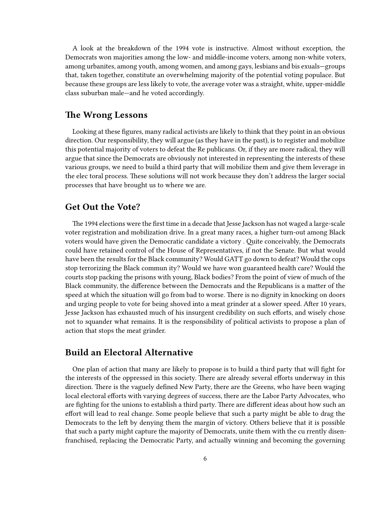A look at the breakdown of the 1994 vote is instructive. Almost without exception, the Democrats won majorities among the low- and middle-income voters, among non-white voters, among urbanites, among youth, among women, and among gays, lesbians and bis exuals—groups that, taken together, constitute an overwhelming majority of the potential voting populace. But because these groups are less likely to vote, the average voter was a straight, white, upper-middle class suburban male—and he voted accordingly.

#### <span id="page-5-0"></span>**The Wrong Lessons**

Looking at these figures, many radical activists are likely to think that they point in an obvious direction. Our responsibility, they will argue (as they have in the past), is to register and mobilize this potential majority of voters to defeat the Re publicans. Or, if they are more radical, they will argue that since the Democrats are obviously not interested in representing the interests of these various groups, we need to build a third party that will mobilize them and give them leverage in the elec toral process. These solutions will not work because they don't address the larger social processes that have brought us to where we are.

#### <span id="page-5-1"></span>**Get Out the Vote?**

The 1994 elections were the first time in a decade that Jesse Jackson has not waged a large-scale voter registration and mobilization drive. In a great many races, a higher turn-out among Black voters would have given the Democratic candidate a victory . Quite conceivably, the Democrats could have retained control of the House of Representatives, if not the Senate. But what would have been the results for the Black community? Would GATT go down to defeat? Would the cops stop terrorizing the Black commun ity? Would we have won guaranteed health care? Would the courts stop packing the prisons with young, Black bodies? From the point of view of much of the Black community, the difference between the Democrats and the Republicans is a matter of the speed at which the situation will go from bad to worse. There is no dignity in knocking on doors and urging people to vote for being shoved into a meat grinder at a slower speed. After 10 years, Jesse Jackson has exhausted much of his insurgent credibility on such efforts, and wisely chose not to squander what remains. It is the responsibility of political activists to propose a plan of action that stops the meat grinder.

#### <span id="page-5-2"></span>**Build an Electoral Alternative**

One plan of action that many are likely to propose is to build a third party that will fight for the interests of the oppressed in this society. There are already several efforts underway in this direction. There is the vaguely defined New Party, there are the Greens, who have been waging local electoral efforts with varying degrees of success, there are the Labor Party Advocates, who are fighting for the unions to establish a third party. There are different ideas about how such an effort will lead to real change. Some people believe that such a party might be able to drag the Democrats to the left by denying them the margin of victory. Others believe that it is possible that such a party might capture the majority of Democrats, unite them with the cu rrently disenfranchised, replacing the Democratic Party, and actually winning and becoming the governing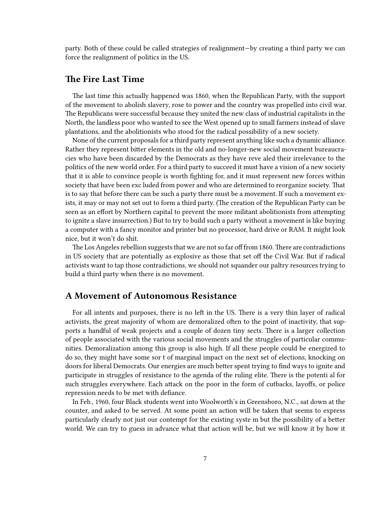party. Both of these could be called strategies of realignment—by creating a third party we can force the realignment of politics in the US.

#### <span id="page-6-0"></span>**The Fire Last Time**

The last time this actually happened was 1860, when the Republican Party, with the support of the movement to abolish slavery, rose to power and the country was propelled into civil war. The Republicans were successful because they united the new class of industrial capitalists in the North, the landless poor who wanted to see the West opened up to small farmers instead of slave plantations, and the abolitionists who stood for the radical possibility of a new society.

None of the current proposals for a third party represent anything like such a dynamic alliance. Rather they represent bitter elements in the old and no-longer-new social movement bureaucracies who have been discarded by the Democrats as they have reve aled their irrelevance to the politics of the new world order. For a third party to succeed it must have a vision of a new society that it is able to convince people is worth fighting for, and it must represent new forces within society that have been exc luded from power and who are determined to reorganize society. That is to say that before there can be such a party there must be a movement. If such a movement exists, it may or may not set out to form a third party. (The creation of the Republican Party can be seen as an effort by Northern capital to prevent the more militant abolitionists from attempting to ignite a slave insurrection.) But to try to build such a party without a movement is like buying a computer with a fancy monitor and printer but no processor, hard drive or RAM. It might look nice, but it won't do shit.

The Los Angeles rebellion suggests that we are not so far off from 1860. There are contradictions in US society that are potentially as explosive as those that set off the Civil War. But if radical activists want to tap those contradictions, we should not squander our paltry resources trying to build a third party when there is no movement.

#### <span id="page-6-1"></span>**A Movement of Autonomous Resistance**

For all intents and purposes, there is no left in the US. There is a very thin layer of radical activists, the great majority of whom are demoralized often to the point of inactivity, that supports a handful of weak projects and a couple of dozen tiny sects. There is a larger collection of people associated with the various social movements and the struggles of particular communities. Demoralization among this group is also high. If all these people could be energized to do so, they might have some sor t of marginal impact on the next set of elections, knocking on doors for liberal Democrats. Our energies are much better spent trying to find ways to ignite and participate in struggles of resistance to the agenda of the ruling elite. There is the potenti al for such struggles everywhere. Each attack on the poor in the form of cutbacks, layoffs, or police repression needs to be met with defiance.

In Feb., 1960, four Black students went into Woolworth's in Greensboro, N.C., sat down at the counter, and asked to be served. At some point an action will be taken that seems to express particularly clearly not just our contempt for the existing syste m but the possibility of a better world. We can try to guess in advance what that action will be, but we will know it by how it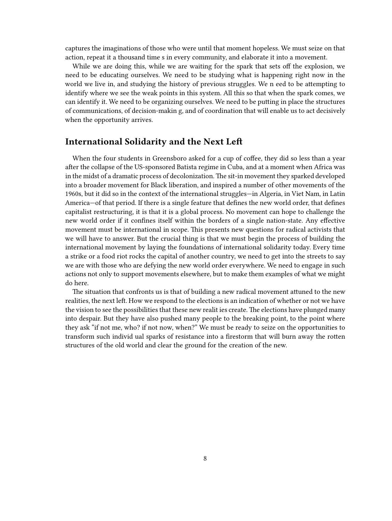captures the imaginations of those who were until that moment hopeless. We must seize on that action, repeat it a thousand time s in every community, and elaborate it into a movement.

While we are doing this, while we are waiting for the spark that sets off the explosion, we need to be educating ourselves. We need to be studying what is happening right now in the world we live in, and studying the history of previous struggles. We n eed to be attempting to identify where we see the weak points in this system. All this so that when the spark comes, we can identify it. We need to be organizing ourselves. We need to be putting in place the structures of communications, of decision-makin g, and of coordination that will enable us to act decisively when the opportunity arrives.

#### <span id="page-7-0"></span>**International Solidarity and the Next Left**

When the four students in Greensboro asked for a cup of coffee, they did so less than a year after the collapse of the US-sponsored Batista regime in Cuba, and at a moment when Africa was in the midst of a dramatic process of decolonization. The sit-in movement they sparked developed into a broader movement for Black liberation, and inspired a number of other movements of the 1960s, but it did so in the context of the international struggles—in Algeria, in Viet Nam, in Latin America—of that period. If there is a single feature that defines the new world order, that defines capitalist restructuring, it is that it is a global process. No movement can hope to challenge the new world order if it confines itself within the borders of a single nation-state. Any effective movement must be international in scope. This presents new questions for radical activists that we will have to answer. But the crucial thing is that we must begin the process of building the international movement by laying the foundations of international solidarity today. Every time a strike or a food riot rocks the capital of another country, we need to get into the streets to say we are with those who are defying the new world order everywhere. We need to engage in such actions not only to support movements elsewhere, but to make them examples of what we might do here.

The situation that confronts us is that of building a new radical movement attuned to the new realities, the next left. How we respond to the elections is an indication of whether or not we have the vision to see the possibilities that these new realit ies create. The elections have plunged many into despair. But they have also pushed many people to the breaking point, to the point where they ask "if not me, who? if not now, when?" We must be ready to seize on the opportunities to transform such individ ual sparks of resistance into a firestorm that will burn away the rotten structures of the old world and clear the ground for the creation of the new.